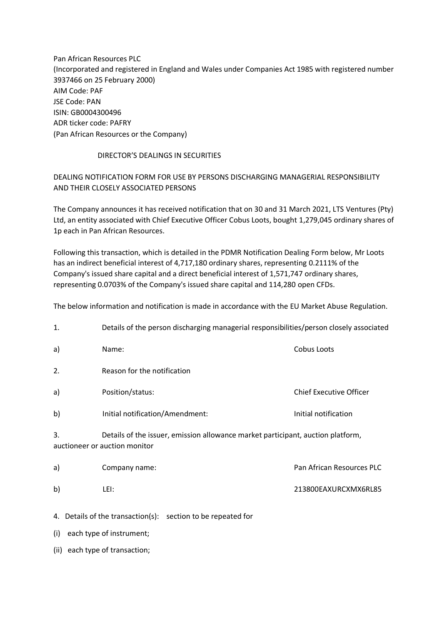Pan African Resources PLC (Incorporated and registered in England and Wales under Companies Act 1985 with registered number 3937466 on 25 February 2000) AIM Code: PAF JSE Code: PAN ISIN: GB0004300496 ADR ticker code: PAFRY (Pan African Resources or the Company)

## DIRECTOR'S DEALINGS IN SECURITIES

## DEALING NOTIFICATION FORM FOR USE BY PERSONS DISCHARGING MANAGERIAL RESPONSIBILITY AND THEIR CLOSELY ASSOCIATED PERSONS

The Company announces it has received notification that on 30 and 31 March 2021, LTS Ventures (Pty) Ltd, an entity associated with Chief Executive Officer Cobus Loots, bought 1,279,045 ordinary shares of 1p each in Pan African Resources.

Following this transaction, which is detailed in the PDMR Notification Dealing Form below, Mr Loots has an indirect beneficial interest of 4,717,180 ordinary shares, representing 0.2111% of the Company's issued share capital and a direct beneficial interest of 1,571,747 ordinary shares, representing 0.0703% of the Company's issued share capital and 114,280 open CFDs.

The below information and notification is made in accordance with the EU Market Abuse Regulation.

| 1.                                                           | Details of the person discharging managerial responsibilities/person closely associated                          |                                |  |
|--------------------------------------------------------------|------------------------------------------------------------------------------------------------------------------|--------------------------------|--|
| a)                                                           | Name:                                                                                                            | <b>Cobus Loots</b>             |  |
| 2.                                                           | Reason for the notification                                                                                      |                                |  |
| a)                                                           | Position/status:                                                                                                 | <b>Chief Executive Officer</b> |  |
| b)                                                           | Initial notification/Amendment:                                                                                  | Initial notification           |  |
| 3.                                                           | Details of the issuer, emission allowance market participant, auction platform,<br>auctioneer or auction monitor |                                |  |
| a)                                                           | Company name:                                                                                                    | Pan African Resources PLC      |  |
| b)                                                           | LEI:                                                                                                             | 213800EAXURCXMX6RL85           |  |
| 4. Details of the transaction(s): section to be repeated for |                                                                                                                  |                                |  |

(i) each type of instrument;

(ii) each type of transaction;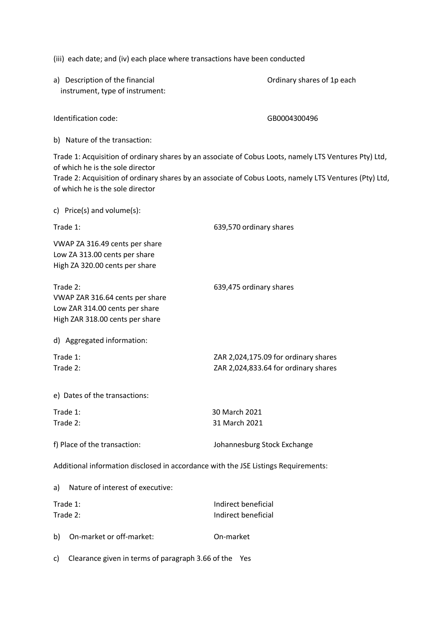(iii) each date; and (iv) each place where transactions have been conducted

a) Description of the financial and  $\overline{O}$  Ordinary shares of 1p each instrument, type of instrument:

Identification code: GB0004300496

b) Nature of the transaction:

Trade 1: Acquisition of ordinary shares by an associate of Cobus Loots, namely LTS Ventures Pty) Ltd, of which he is the sole director

Trade 2: Acquisition of ordinary shares by an associate of Cobus Loots, namely LTS Ventures (Pty) Ltd, of which he is the sole director

|                      | c) Price(s) and volume(s):                                                                           |                                                                              |
|----------------------|------------------------------------------------------------------------------------------------------|------------------------------------------------------------------------------|
| Trade 1:             |                                                                                                      | 639,570 ordinary shares                                                      |
|                      | VWAP ZA 316.49 cents per share<br>Low ZA 313.00 cents per share<br>High ZA 320.00 cents per share    |                                                                              |
| Trade 2:             | VWAP ZAR 316.64 cents per share<br>Low ZAR 314.00 cents per share<br>High ZAR 318.00 cents per share | 639,475 ordinary shares                                                      |
|                      | d) Aggregated information:                                                                           |                                                                              |
| Trade 1:<br>Trade 2: |                                                                                                      | ZAR 2,024,175.09 for ordinary shares<br>ZAR 2,024,833.64 for ordinary shares |
|                      | e) Dates of the transactions:                                                                        |                                                                              |
|                      | Trade 1:                                                                                             | 30 March 2021                                                                |
| Trade 2:             |                                                                                                      | 31 March 2021                                                                |
|                      | f) Place of the transaction:                                                                         | Johannesburg Stock Exchange                                                  |
|                      | Additional information disclosed in accordance with the JSE Listings Requirements:                   |                                                                              |
| a)                   | Nature of interest of executive:                                                                     |                                                                              |
| Trade 1:<br>Trade 2: |                                                                                                      | Indirect beneficial<br>Indirect beneficial                                   |

c) Clearance given in terms of paragraph 3.66 of the Yes